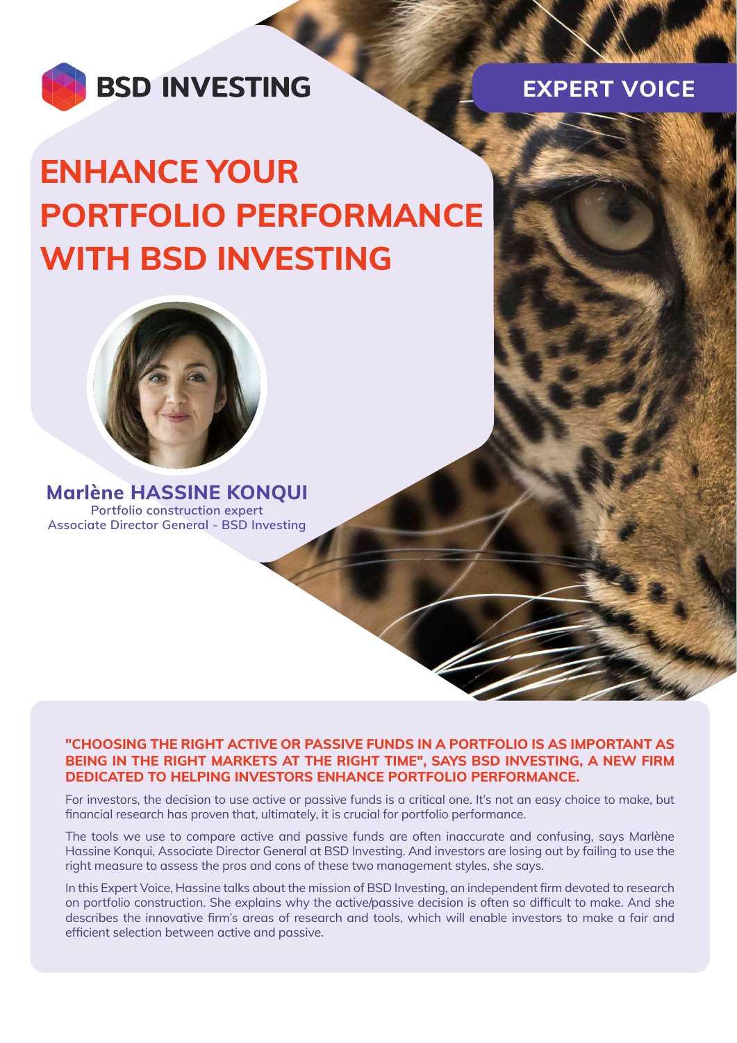

**EXPERT VOICE**

# **ENHANCE YOUR PORTFOLIO PERFORMANCE WITH BSD INVESTING**



**Marlène HASSINE KONQUI Portfolio construction expert Associate Director General - BSD Investing**

# **"CHOOSING THE RIGHT ACTIVE OR PASSIVE FUNDS IN A PORTFOLIO IS AS IMPORTANT AS BEING IN THE RIGHT MARKETS AT THE RIGHT TIME", SAYS BSD INVESTING, A NEW FIRM DEDICATED TO HELPING INVESTORS ENHANCE PORTFOLIO PERFORMANCE.**

For investors, the decision to use active or passive funds is a critical one. It's not an easy choice to make, but financial research has proven that, ultimately, it is crucial for portfolio performance.

The tools we use to compare active and passive funds are often inaccurate and confusing, says Marlène Hassine Konqui, Associate Director General at BSD Investing. And investors are losing out by failing to use the right measure to assess the pros and cons of these two management styles, she says.

In this Expert Voice, Hassine talks about the mission of BSD Investing, an independent firm devoted to research on portfolio construction. She explains why the active/passive decision is often so difficult to make. And she describes the innovative firm's areas of research and tools, which will enable investors to make a fair and efficient selection between active and passive.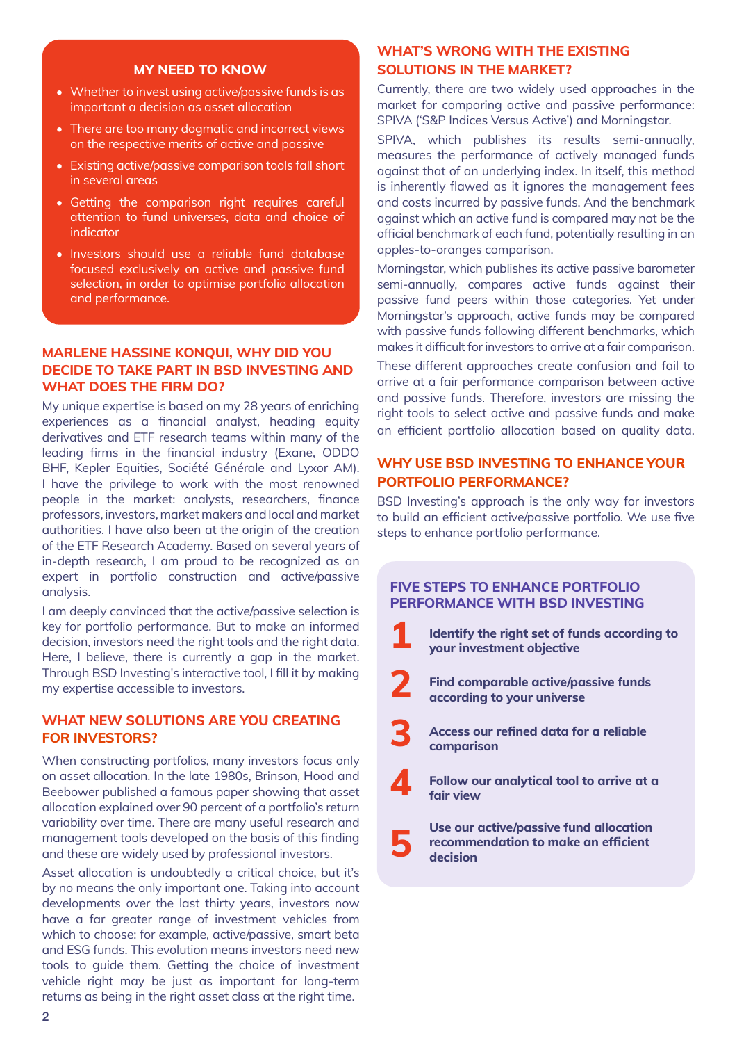#### **MY NEED TO KNOW**

- Whether to invest using active/passive funds is as important a decision as asset allocation
- There are too many dogmatic and incorrect views on the respective merits of active and passive
- Existing active/passive comparison tools fall short in several areas
- Getting the comparison right requires careful attention to fund universes, data and choice of indicator
- Investors should use a reliable fund database focused exclusively on active and passive fund selection, in order to optimise portfolio allocation and performance.

# **MARLENE HASSINE KONQUI, WHY DID YOU DECIDE TO TAKE PART IN BSD INVESTING AND WHAT DOES THE FIRM DO?**

My unique expertise is based on my 28 years of enriching experiences as a financial analyst, heading equity derivatives and ETF research teams within many of the leading firms in the financial industry (Exane, ODDO BHF, Kepler Equities, Société Générale and Lyxor AM). I have the privilege to work with the most renowned people in the market: analysts, researchers, finance professors, investors, market makers and local and market authorities. I have also been at the origin of the creation of the ETF Research Academy. Based on several years of in-depth research, I am proud to be recognized as an expert in portfolio construction and active/passive analysis.

I am deeply convinced that the active/passive selection is key for portfolio performance. But to make an informed decision, investors need the right tools and the right data. Here, I believe, there is currently a gap in the market. Through BSD Investing's interactive tool, I fill it by making my expertise accessible to investors.

#### **WHAT NEW SOLUTIONS ARE YOU CREATING FOR INVESTORS?**

When constructing portfolios, many investors focus only on asset allocation. In the late 1980s, Brinson, Hood and Beebower published a famous paper showing that asset allocation explained over 90 percent of a portfolio's return variability over time. There are many useful research and management tools developed on the basis of this finding and these are widely used by professional investors.

Asset allocation is undoubtedly a critical choice, but it's by no means the only important one. Taking into account developments over the last thirty years, investors now have a far greater range of investment vehicles from which to choose: for example, active/passive, smart beta and ESG funds. This evolution means investors need new tools to guide them. Getting the choice of investment vehicle right may be just as important for long-term returns as being in the right asset class at the right time.

# **WHAT'S WRONG WITH THE EXISTING SOLUTIONS IN THE MARKET?**

Currently, there are two widely used approaches in the market for comparing active and passive performance: SPIVA ('S&P Indices Versus Active') and Morningstar.

SPIVA, which publishes its results semi-annually, measures the performance of actively managed funds against that of an underlying index. In itself, this method is inherently flawed as it ignores the management fees and costs incurred by passive funds. And the benchmark against which an active fund is compared may not be the official benchmark of each fund, potentially resulting in an apples-to-oranges comparison.

Morningstar, which publishes its active passive barometer semi-annually, compares active funds against their passive fund peers within those categories. Yet under Morningstar's approach, active funds may be compared with passive funds following different benchmarks, which makes it difficult for investors to arrive at a fair comparison.

These different approaches create confusion and fail to arrive at a fair performance comparison between active and passive funds. Therefore, investors are missing the right tools to select active and passive funds and make an efficient portfolio allocation based on quality data.

# **WHY USE BSD INVESTING TO ENHANCE YOUR PORTFOLIO PERFORMANCE?**

BSD Investing's approach is the only way for investors to build an efficient active/passive portfolio. We use five steps to enhance portfolio performance.

# **FIVE STEPS TO ENHANCE PORTFOLIO PERFORMANCE WITH BSD INVESTING**

- **1 Identify the right set of funds according to your investment objective**
- **2 Find comparable active/passive funds according to your universe**
- **3 Access our refined data for a reliable comparison**
- **4 Follow our analytical tool to arrive at a fair view**

**5 Use our active/passive fund allocation recommendation to make an efficient decision**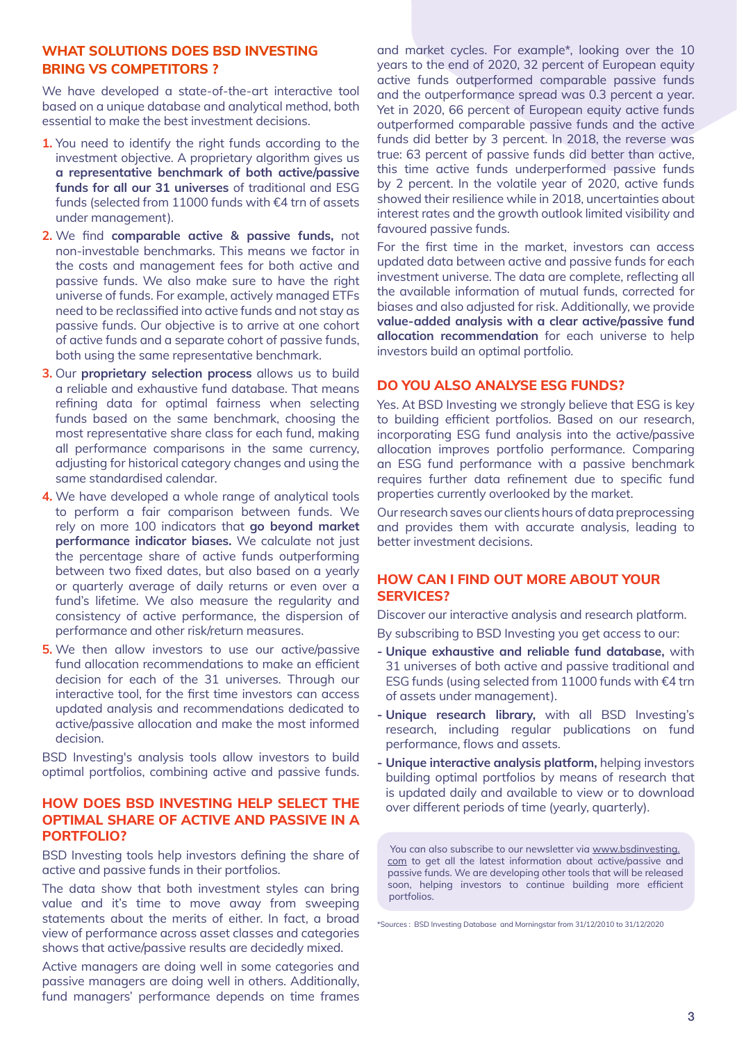# **WHAT SOLUTIONS DOES BSD INVESTING BRING VS COMPETITORS ?**

We have developed a state-of-the-art interactive tool based on a unique database and analytical method, both essential to make the best investment decisions.

- **1.** You need to identify the right funds according to the investment objective. A proprietary algorithm gives us **a representative benchmark of both active/passive funds for all our 31 universes** of traditional and ESG funds (selected from 11000 funds with €4 trn of assets under management).
- **2.** We find **comparable active & passive funds,** not non-investable benchmarks. This means we factor in the costs and management fees for both active and passive funds. We also make sure to have the right universe of funds. For example, actively managed ETFs need to be reclassified into active funds and not stay as passive funds. Our objective is to arrive at one cohort of active funds and a separate cohort of passive funds, both using the same representative benchmark.
- **3.** Our **proprietary selection process** allows us to build a reliable and exhaustive fund database. That means refining data for optimal fairness when selecting funds based on the same benchmark, choosing the most representative share class for each fund, making all performance comparisons in the same currency, adjusting for historical category changes and using the same standardised calendar.
- **4.** We have developed a whole range of analytical tools to perform a fair comparison between funds. We rely on more 100 indicators that **go beyond market performance indicator biases.** We calculate not just the percentage share of active funds outperforming between two fixed dates, but also based on a yearly or quarterly average of daily returns or even over a fund's lifetime. We also measure the regularity and consistency of active performance, the dispersion of performance and other risk/return measures.
- **5.** We then allow investors to use our active/passive fund allocation recommendations to make an efficient decision for each of the 31 universes. Through our interactive tool, for the first time investors can access updated analysis and recommendations dedicated to active/passive allocation and make the most informed decision.

BSD Investing's analysis tools allow investors to build optimal portfolios, combining active and passive funds.

## **HOW DOES BSD INVESTING HELP SELECT THE OPTIMAL SHARE OF ACTIVE AND PASSIVE IN A PORTFOLIO?**

BSD Investing tools help investors defining the share of active and passive funds in their portfolios.

The data show that both investment styles can bring value and it's time to move away from sweeping statements about the merits of either. In fact, a broad view of performance across asset classes and categories shows that active/passive results are decidedly mixed.

Active managers are doing well in some categories and passive managers are doing well in others. Additionally, fund managers' performance depends on time frames

and market cycles. For example\*, looking over the 10 years to the end of 2020, 32 percent of European equity active funds outperformed comparable passive funds and the outperformance spread was 0.3 percent a year. Yet in 2020, 66 percent of European equity active funds outperformed comparable passive funds and the active funds did better by 3 percent. In 2018, the reverse was true: 63 percent of passive funds did better than active, this time active funds underperformed passive funds by 2 percent. In the volatile year of 2020, active funds showed their resilience while in 2018, uncertainties about interest rates and the growth outlook limited visibility and favoured passive funds.

For the first time in the market, investors can access updated data between active and passive funds for each investment universe. The data are complete, reflecting all the available information of mutual funds, corrected for biases and also adjusted for risk. Additionally, we provide **value-added analysis with a clear active/passive fund allocation recommendation** for each universe to help investors build an optimal portfolio.

#### **DO YOU ALSO ANALYSE ESG FUNDS?**

Yes. At BSD Investing we strongly believe that ESG is key to building efficient portfolios. Based on our research, incorporating ESG fund analysis into the active/passive allocation improves portfolio performance. Comparing an ESG fund performance with a passive benchmark requires further data refinement due to specific fund properties currently overlooked by the market.

Our research saves our clients hours of data preprocessing and provides them with accurate analysis, leading to better investment decisions.

# **HOW CAN I FIND OUT MORE ABOUT YOUR SERVICES?**

Discover our interactive analysis and research platform.

By subscribing to BSD Investing you get access to our:

- **Unique exhaustive and reliable fund database,** with 31 universes of both active and passive traditional and ESG funds (using selected from 11000 funds with €4 trn of assets under management).
- **Unique research library,** with all BSD Investing's research, including regular publications on fund performance, flows and assets.
- **Unique interactive analysis platform,** helping investors building optimal portfolios by means of research that is updated daily and available to view or to download over different periods of time (yearly, quarterly).

You can also subscribe to our newsletter via [www.bsdinvesting.](http://www.bsdinvesting.com) [com](http://www.bsdinvesting.com) to get all the latest information about active/passive and passive funds. We are developing other tools that will be released soon, helping investors to continue building more efficient portfolios.

\*Sources : BSD Investing Database and Morningstar from 31/12/2010 to 31/12/2020